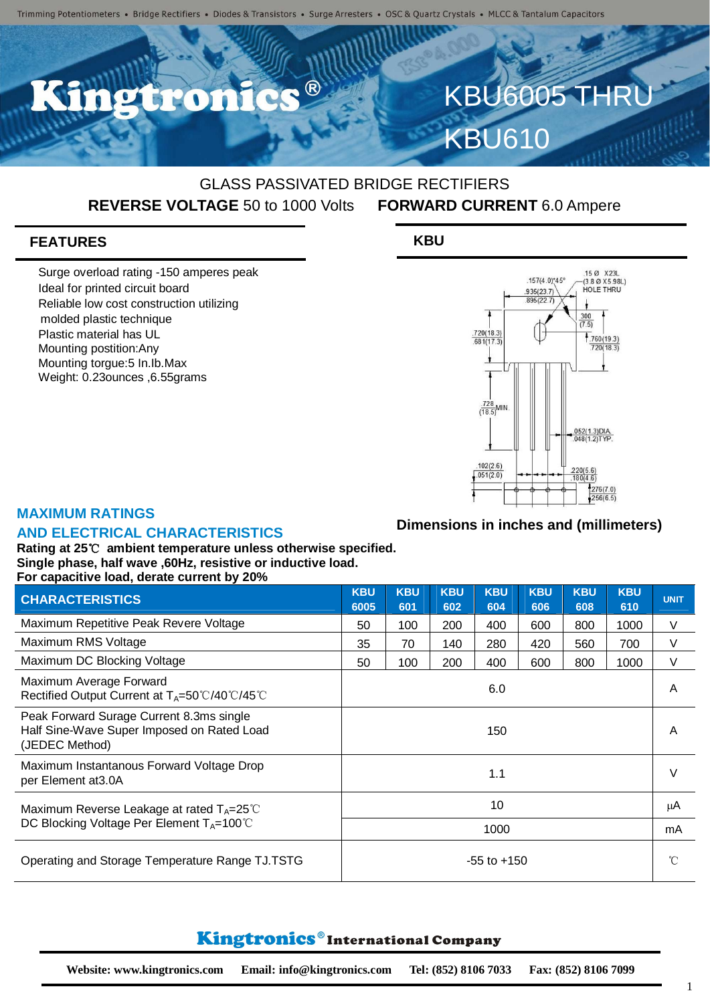O

# GLASS PASSIVATED BRIDGE RECTIFIERS **REVERSE VOLTAGE** 50 to 1000 Volts **FORWARD CURRENT** 6.0 Ampere

## **FEATURES**

Surge overload rating -150 amperes peak Ideal for printed circuit board Reliable low cost construction utilizing molded plastic technique Plastic material has UL Mounting postition:Any Mounting torgue:5 In.Ib.Max Weight: 0.23ounces ,6.55grams

### **KBU**



**KBU6005 THR** 

KBU610

### **MAXIMUM RATINGS**

#### **AND ELECTRICAL CHARACTERISTICS**

#### **Dimensions in inches and (millimeters)**

**Rating at 25**℃ **ambient temperature unless otherwise specified. Single phase, half wave ,60Hz, resistive or inductive load. For capacitive load, derate current by 20%**

| <b>CHARACTERISTICS</b>                                                                                         | <b>KBU</b><br>6005 | <b>KBU</b><br>601 | <b>KBU</b><br>602 | <b>KBU</b><br>604 | <b>KBU</b><br>606 | <b>KBU</b><br>608 | <b>KBU</b><br>610 | <b>UNIT</b> |
|----------------------------------------------------------------------------------------------------------------|--------------------|-------------------|-------------------|-------------------|-------------------|-------------------|-------------------|-------------|
| Maximum Repetitive Peak Revere Voltage                                                                         | 50                 | 100               | 200               | 400               | 600               | 800               | 1000              | V           |
| Maximum RMS Voltage                                                                                            | 35                 | 70                | 140               | 280               | 420               | 560               | 700               | V           |
| Maximum DC Blocking Voltage                                                                                    | 50                 | 100               | 200               | 400               | 600               | 800               | 1000              | V           |
| Maximum Average Forward<br>Rectified Output Current at $T_A = 50^{\circ}C/40^{\circ}C/45^{\circ}C$             | 6.0                |                   |                   |                   |                   |                   |                   | A           |
| Peak Forward Surage Current 8.3ms single<br>Half Sine-Wave Super Imposed on Rated Load<br>(JEDEC Method)       | 150                |                   |                   |                   |                   |                   |                   | A           |
| Maximum Instantanous Forward Voltage Drop<br>per Element at 3.0A                                               | 1.1                |                   |                   |                   |                   |                   |                   | $\vee$      |
| Maximum Reverse Leakage at rated $T_A = 25^{\circ}$ C<br>DC Blocking Voltage Per Element $T_A = 100^{\circ}$ C | 10                 |                   |                   |                   |                   |                   |                   | μA          |
|                                                                                                                | 1000               |                   |                   |                   |                   |                   |                   | mA          |
| Operating and Storage Temperature Range TJ.TSTG                                                                | $-55$ to $+150$    |                   |                   |                   |                   |                   |                   | $^{\circ}C$ |

# Kingtronics®International Company

1